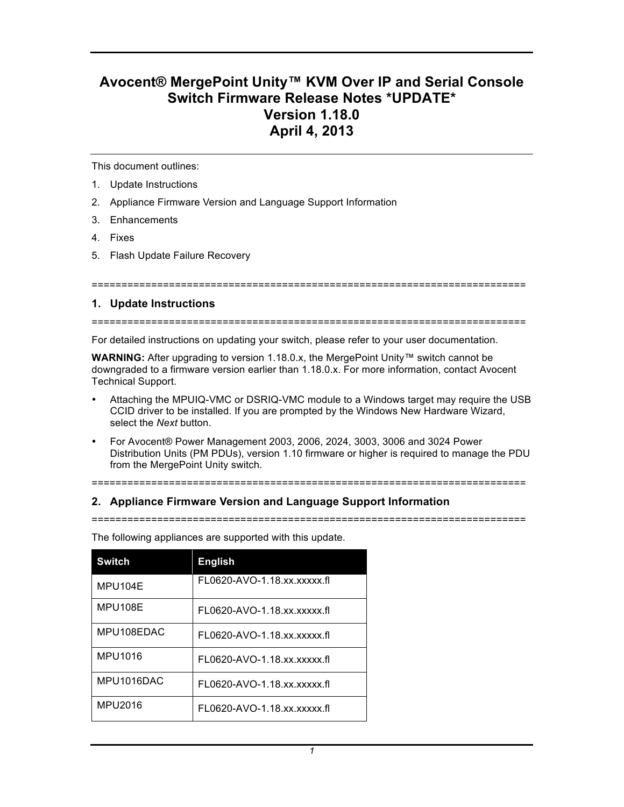# **Avocent® MergePoint Unity™ KVM Over IP and Serial Console Switch Firmware Release Notes \*UPDATE\* Version 1.18.0 April 4, 2013**

This document outlines:

- 1. Update Instructions
- 2. Appliance Firmware Version and Language Support Information
- 3. Enhancements
- 4. Fixes
- 5. Flash Update Failure Recovery

=========================================================================

# **1. Update Instructions**

=========================================================================

For detailed instructions on updating your switch, please refer to your user documentation.

**WARNING:** After upgrading to version 1.18.0.x, the MergePoint Unity™ switch cannot be downgraded to a firmware version earlier than 1.18.0.x. For more information, contact Avocent Technical Support.

- Attaching the MPUIQ-VMC or DSRIQ-VMC module to a Windows target may require the USB CCID driver to be installed. If you are prompted by the Windows New Hardware Wizard, select the *Next* button.
- For Avocent® Power Management 2003, 2006, 2024, 3003, 3006 and 3024 Power Distribution Units (PM PDUs), version 1.10 firmware or higher is required to manage the PDU from the MergePoint Unity switch.

=========================================================================

# **2. Appliance Firmware Version and Language Support Information**

=========================================================================

| <b>Switch</b> | <b>English</b>              |
|---------------|-----------------------------|
| MPU104F       | FL0620-AVO-1.18.xx.xxxxx.fl |
| MPU108E       | FL0620-AVO-1.18.xx.xxxxx.fl |
| MPU108EDAC    | FL0620-AVO-1.18.xx.xxxxx.fl |
| MPU1016       | FL0620-AVO-1.18.xx.xxxxx.fl |
| MPU1016DAC    | FL0620-AVO-1.18.xx.xxxxx.fl |
| MPU2016       | FL0620-AVO-1.18.xx.xxxxx.fl |

The following appliances are supported with this update.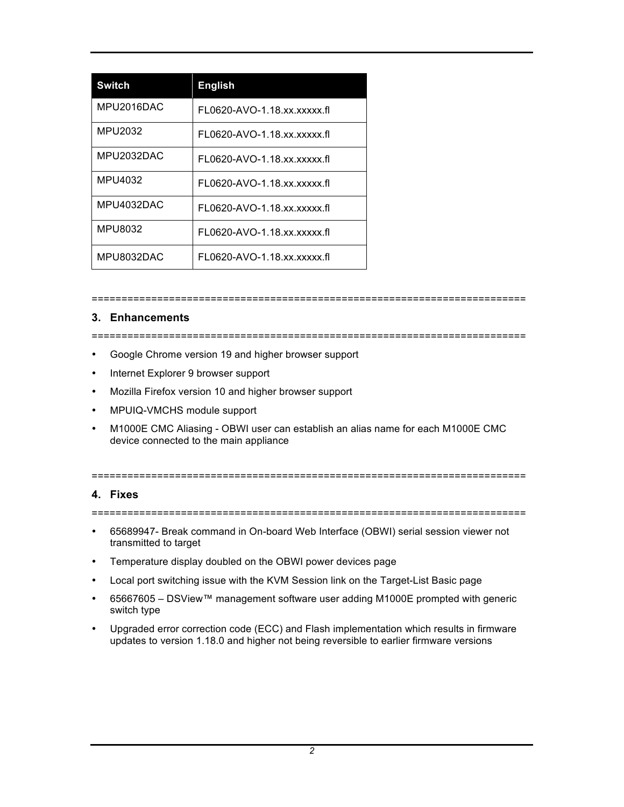| <b>Switch</b> | <b>English</b>              |
|---------------|-----------------------------|
| MPU2016DAC    | FL0620-AVO-1.18.xx.xxxxx.fl |
| MPU2032       | FL0620-AVO-1.18.xx.xxxxx.fl |
| MPU2032DAC    | FL0620-AVO-1.18.xx.xxxxx.fl |
| MPU4032       | FL0620-AVO-1.18.xx.xxxxx.fl |
| MPU4032DAC    | FL0620-AVO-1.18.xx.xxxxx.fl |
| MPU8032       | FL0620-AVO-1.18.xx.xxxxx.fl |
| MPU8032DAC    | FL0620-AVO-1.18.xx.xxxxx.fl |

#### =========================================================================

# **3. Enhancements**

=========================================================================

- Google Chrome version 19 and higher browser support
- Internet Explorer 9 browser support
- Mozilla Firefox version 10 and higher browser support
- MPUIQ-VMCHS module support
- M1000E CMC Aliasing OBWI user can establish an alias name for each M1000E CMC device connected to the main appliance

#### =========================================================================

## **4. Fixes**

=========================================================================

- 65689947- Break command in On-board Web Interface (OBWI) serial session viewer not transmitted to target
- Temperature display doubled on the OBWI power devices page
- Local port switching issue with the KVM Session link on the Target-List Basic page
- 65667605 DSView™ management software user adding M1000E prompted with generic switch type
- Upgraded error correction code (ECC) and Flash implementation which results in firmware updates to version 1.18.0 and higher not being reversible to earlier firmware versions